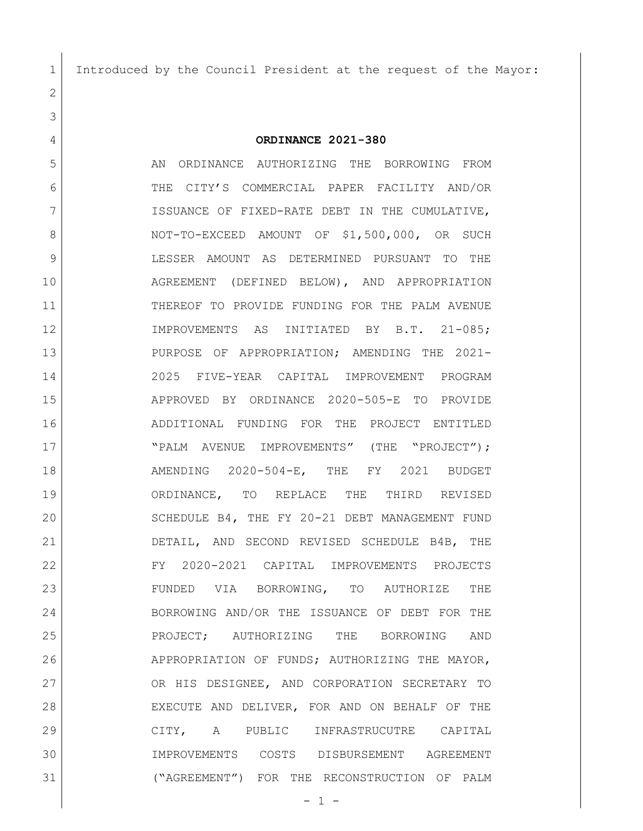Introduced by the Council President at the request of the Mayor:

**ORDINANCE 2021-380**

5 AN ORDINANCE AUTHORIZING THE BORROWING FROM THE CITY'S COMMERCIAL PAPER FACILITY AND/OR 7 ISSUANCE OF FIXED-RATE DEBT IN THE CUMULATIVE, 8 NOT-TO-EXCEED AMOUNT OF \$1,500,000, OR SUCH LESSER AMOUNT AS DETERMINED PURSUANT TO THE AGREEMENT (DEFINED BELOW), AND APPROPRIATION THEREOF TO PROVIDE FUNDING FOR THE PALM AVENUE IMPROVEMENTS AS INITIATED BY B.T. 21-085; PURPOSE OF APPROPRIATION; AMENDING THE 2021- 2025 FIVE-YEAR CAPITAL IMPROVEMENT PROGRAM APPROVED BY ORDINANCE 2020-505-E TO PROVIDE ADDITIONAL FUNDING FOR THE PROJECT ENTITLED 17 | TPALM AVENUE IMPROVEMENTS" (THE "PROJECT"); AMENDING 2020-504-E, THE FY 2021 BUDGET ORDINANCE, TO REPLACE THE THIRD REVISED 20 SCHEDULE B4, THE FY 20-21 DEBT MANAGEMENT FUND DETAIL, AND SECOND REVISED SCHEDULE B4B, THE FY 2020-2021 CAPITAL IMPROVEMENTS PROJECTS FUNDED VIA BORROWING, TO AUTHORIZE THE BORROWING AND/OR THE ISSUANCE OF DEBT FOR THE PROJECT; AUTHORIZING THE BORROWING AND APPROPRIATION OF FUNDS; AUTHORIZING THE MAYOR, 27 OR HIS DESIGNEE, AND CORPORATION SECRETARY TO EXECUTE AND DELIVER, FOR AND ON BEHALF OF THE CITY, A PUBLIC INFRASTRUCUTRE CAPITAL IMPROVEMENTS COSTS DISBURSEMENT AGREEMENT ("AGREEMENT") FOR THE RECONSTRUCTION OF PALM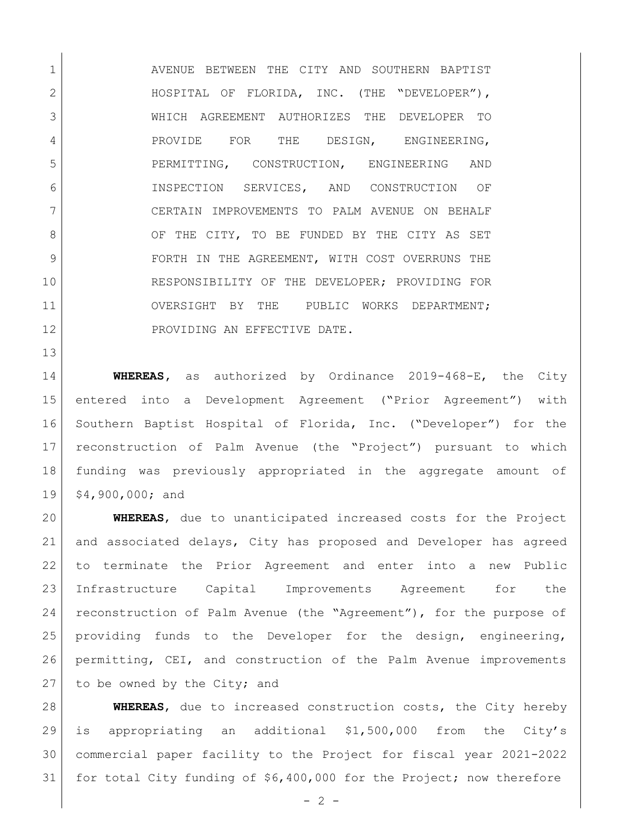1 AVENUE BETWEEN THE CITY AND SOUTHERN BAPTIST 2 | HOSPITAL OF FLORIDA, INC. (THE "DEVELOPER"), WHICH AGREEMENT AUTHORIZES THE DEVELOPER TO 4 PROVIDE FOR THE DESIGN, ENGINEERING, PERMITTING, CONSTRUCTION, ENGINEERING AND INSPECTION SERVICES, AND CONSTRUCTION OF CERTAIN IMPROVEMENTS TO PALM AVENUE ON BEHALF 8 OF THE CITY, TO BE FUNDED BY THE CITY AS SET 9 FORTH IN THE AGREEMENT, WITH COST OVERRUNS THE RESPONSIBILITY OF THE DEVELOPER; PROVIDING FOR OVERSIGHT BY THE PUBLIC WORKS DEPARTMENT; 12 PROVIDING AN EFFECTIVE DATE.

 **WHEREAS,** as authorized by Ordinance 2019-468-E, the City entered into a Development Agreement ("Prior Agreement") with Southern Baptist Hospital of Florida, Inc. ("Developer") for the reconstruction of Palm Avenue (the "Project") pursuant to which funding was previously appropriated in the aggregate amount of \$4,900,000; and

 **WHEREAS**, due to unanticipated increased costs for the Project and associated delays, City has proposed and Developer has agreed to terminate the Prior Agreement and enter into a new Public Infrastructure Capital Improvements Agreement for the reconstruction of Palm Avenue (the "Agreement"), for the purpose of providing funds to the Developer for the design, engineering, permitting, CEI, and construction of the Palm Avenue improvements to be owned by the City; and

 **WHEREAS**, due to increased construction costs, the City hereby is appropriating an additional \$1,500,000 from the City's commercial paper facility to the Project for fiscal year 2021-2022 for total City funding of \$6,400,000 for the Project; now therefore

 $-2 -$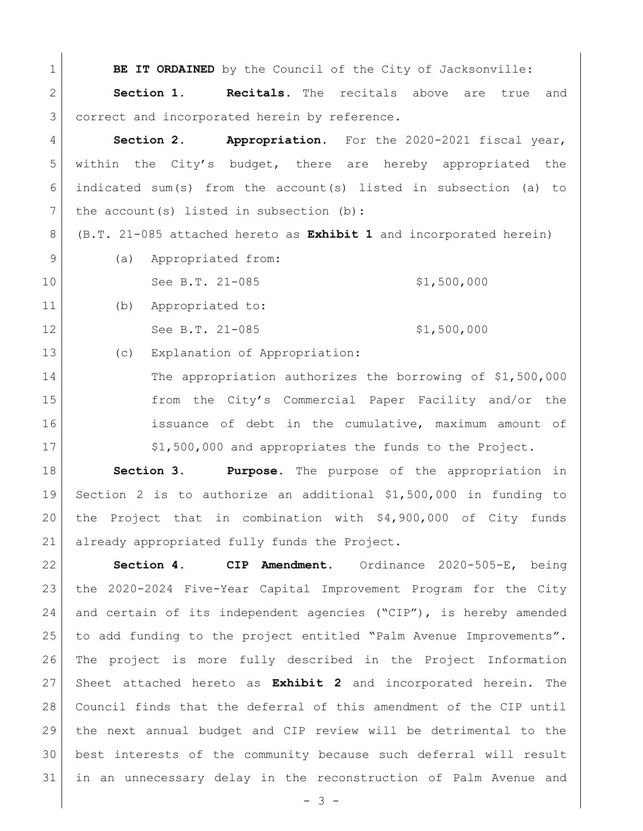| $\mathbf 1$    | BE IT ORDAINED by the Council of the City of Jacksonville:                |
|----------------|---------------------------------------------------------------------------|
| $\overline{2}$ | Section 1.<br><b>Recitals.</b> The recitals above are true<br>and         |
| 3              | correct and incorporated herein by reference.                             |
| 4              | Section 2.<br>Appropriation. For the 2020-2021 fiscal year,               |
| 5              | within the City's budget, there are hereby appropriated the               |
| 6              | indicated sum(s) from the account(s) listed in subsection (a) to          |
| 7              | the $account(s)$ listed in subsection $(b)$ :                             |
| 8              | (B.T. 21-085 attached hereto as <b>Exhibit 1</b> and incorporated herein) |
| 9              | Appropriated from:<br>(a)                                                 |
| 10             | \$1,500,000<br>See B.T. 21-085                                            |
| 11             | Appropriated to:<br>(b)                                                   |
| 12             | See B.T. 21-085<br>\$1,500,000                                            |
| 13             | Explanation of Appropriation:<br>(C)                                      |
| 14             | The appropriation authorizes the borrowing of \$1,500,000                 |
| 15             | from the City's Commercial Paper Facility and/or the                      |
| 16             | issuance of debt in the cumulative, maximum amount of                     |
| 17             | \$1,500,000 and appropriates the funds to the Project.                    |

 **Section 3. Purpose.** The purpose of the appropriation in Section 2 is to authorize an additional \$1,500,000 in funding to the Project that in combination with \$4,900,000 of City funds already appropriated fully funds the Project.

 **Section 4. CIP Amendment**. Ordinance 2020-505-E, being the 2020-2024 Five-Year Capital Improvement Program for the City 24 and certain of its independent agencies ("CIP"), is hereby amended to add funding to the project entitled "Palm Avenue Improvements". The project is more fully described in the Project Information Sheet attached hereto as **Exhibit 2** and incorporated herein. The Council finds that the deferral of this amendment of the CIP until the next annual budget and CIP review will be detrimental to the best interests of the community because such deferral will result in an unnecessary delay in the reconstruction of Palm Avenue and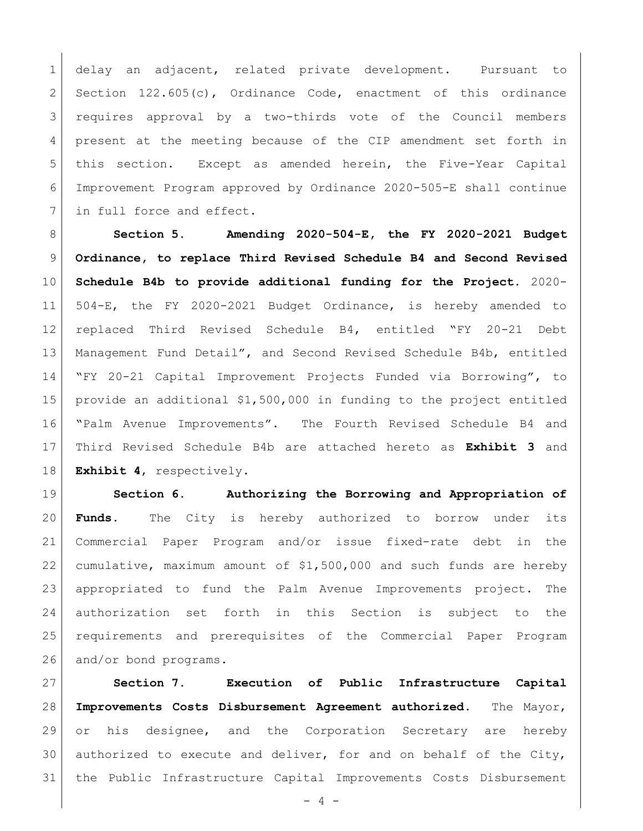delay an adjacent, related private development. Pursuant to Section 122.605(c), Ordinance Code, enactment of this ordinance 3 | requires approval by a two-thirds vote of the Council members present at the meeting because of the CIP amendment set forth in this section. Except as amended herein, the Five-Year Capital Improvement Program approved by Ordinance 2020-505-E shall continue 7 in full force and effect.

 **Section 5. Amending 2020-504-E, the FY 2020-2021 Budget Ordinance, to replace Third Revised Schedule B4 and Second Revised Schedule B4b to provide additional funding for the Project.** 2020- 504-E, the FY 2020-2021 Budget Ordinance, is hereby amended to replaced Third Revised Schedule B4, entitled "FY 20-21 Debt Management Fund Detail", and Second Revised Schedule B4b, entitled "FY 20-21 Capital Improvement Projects Funded via Borrowing", to provide an additional \$1,500,000 in funding to the project entitled "Palm Avenue Improvements". The Fourth Revised Schedule B4 and Third Revised Schedule B4b are attached hereto as **Exhibit 3** and **Exhibit 4**, respectively.

 **Section 6. Authorizing the Borrowing and Appropriation of Funds.** The City is hereby authorized to borrow under its Commercial Paper Program and/or issue fixed-rate debt in the cumulative, maximum amount of \$1,500,000 and such funds are hereby appropriated to fund the Palm Avenue Improvements project. The authorization set forth in this Section is subject to the requirements and prerequisites of the Commercial Paper Program 26 and/or bond programs.

 **Section 7. Execution of Public Infrastructure Capital Improvements Costs Disbursement Agreement authorized**. The Mayor, or his designee, and the Corporation Secretary are hereby authorized to execute and deliver, for and on behalf of the City, the Public Infrastructure Capital Improvements Costs Disbursement

 $- 4 -$